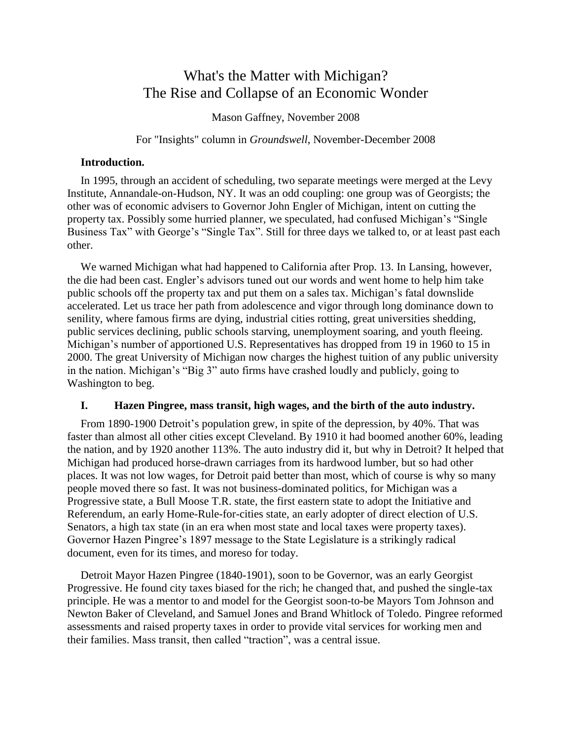# What's the Matter with Michigan? The Rise and Collapse of an Economic Wonder

Mason Gaffney, November 2008

For "Insights" column in *Groundswell*, November-December 2008

# **Introduction.**

In 1995, through an accident of scheduling, two separate meetings were merged at the Levy Institute, Annandale-on-Hudson, NY. It was an odd coupling: one group was of Georgists; the other was of economic advisers to Governor John Engler of Michigan, intent on cutting the property tax. Possibly some hurried planner, we speculated, had confused Michigan's "Single Business Tax" with George's "Single Tax". Still for three days we talked to, or at least past each other.

We warned Michigan what had happened to California after Prop. 13. In Lansing, however, the die had been cast. Engler's advisors tuned out our words and went home to help him take public schools off the property tax and put them on a sales tax. Michigan's fatal downslide accelerated. Let us trace her path from adolescence and vigor through long dominance down to senility, where famous firms are dying, industrial cities rotting, great universities shedding, public services declining, public schools starving, unemployment soaring, and youth fleeing. Michigan's number of apportioned U.S. Representatives has dropped from 19 in 1960 to 15 in 2000. The great University of Michigan now charges the highest tuition of any public university in the nation. Michigan's "Big 3" auto firms have crashed loudly and publicly, going to Washington to beg.

# **I. Hazen Pingree, mass transit, high wages, and the birth of the auto industry.**

From 1890-1900 Detroit's population grew, in spite of the depression, by 40%. That was faster than almost all other cities except Cleveland. By 1910 it had boomed another 60%, leading the nation, and by 1920 another 113%. The auto industry did it, but why in Detroit? It helped that Michigan had produced horse-drawn carriages from its hardwood lumber, but so had other places. It was not low wages, for Detroit paid better than most, which of course is why so many people moved there so fast. It was not business-dominated politics, for Michigan was a Progressive state, a Bull Moose T.R. state, the first eastern state to adopt the Initiative and Referendum, an early Home-Rule-for-cities state, an early adopter of direct election of U.S. Senators, a high tax state (in an era when most state and local taxes were property taxes). Governor Hazen Pingree's 1897 message to the State Legislature is a strikingly radical document, even for its times, and moreso for today.

Detroit Mayor Hazen Pingree (1840-1901), soon to be Governor, was an early Georgist Progressive. He found city taxes biased for the rich; he changed that, and pushed the single-tax principle. He was a mentor to and model for the Georgist soon-to-be Mayors Tom Johnson and Newton Baker of Cleveland, and Samuel Jones and Brand Whitlock of Toledo. Pingree reformed assessments and raised property taxes in order to provide vital services for working men and their families. Mass transit, then called "traction", was a central issue.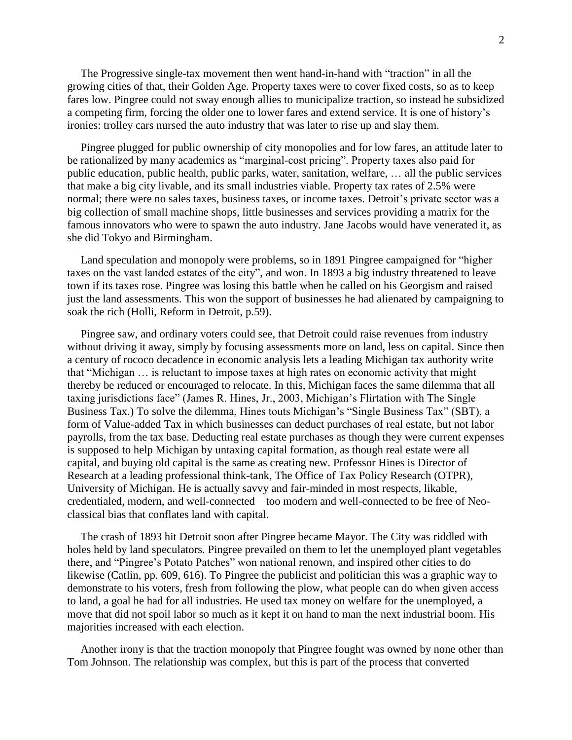The Progressive single-tax movement then went hand-in-hand with "traction" in all the growing cities of that, their Golden Age. Property taxes were to cover fixed costs, so as to keep fares low. Pingree could not sway enough allies to municipalize traction, so instead he subsidized a competing firm, forcing the older one to lower fares and extend service. It is one of history's ironies: trolley cars nursed the auto industry that was later to rise up and slay them.

Pingree plugged for public ownership of city monopolies and for low fares, an attitude later to be rationalized by many academics as "marginal-cost pricing". Property taxes also paid for public education, public health, public parks, water, sanitation, welfare, … all the public services that make a big city livable, and its small industries viable. Property tax rates of 2.5% were normal; there were no sales taxes, business taxes, or income taxes. Detroit's private sector was a big collection of small machine shops, little businesses and services providing a matrix for the famous innovators who were to spawn the auto industry. Jane Jacobs would have venerated it, as she did Tokyo and Birmingham.

Land speculation and monopoly were problems, so in 1891 Pingree campaigned for "higher taxes on the vast landed estates of the city", and won. In 1893 a big industry threatened to leave town if its taxes rose. Pingree was losing this battle when he called on his Georgism and raised just the land assessments. This won the support of businesses he had alienated by campaigning to soak the rich (Holli, Reform in Detroit, p.59).

Pingree saw, and ordinary voters could see, that Detroit could raise revenues from industry without driving it away, simply by focusing assessments more on land, less on capital. Since then a century of rococo decadence in economic analysis lets a leading Michigan tax authority write that "Michigan … is reluctant to impose taxes at high rates on economic activity that might thereby be reduced or encouraged to relocate. In this, Michigan faces the same dilemma that all taxing jurisdictions face" (James R. Hines, Jr., 2003, Michigan's Flirtation with The Single Business Tax.) To solve the dilemma, Hines touts Michigan's "Single Business Tax" (SBT), a form of Value-added Tax in which businesses can deduct purchases of real estate, but not labor payrolls, from the tax base. Deducting real estate purchases as though they were current expenses is supposed to help Michigan by untaxing capital formation, as though real estate were all capital, and buying old capital is the same as creating new. Professor Hines is Director of Research at a leading professional think-tank, The Office of Tax Policy Research (OTPR), University of Michigan. He is actually savvy and fair-minded in most respects, likable, credentialed, modern, and well-connected—too modern and well-connected to be free of Neoclassical bias that conflates land with capital.

The crash of 1893 hit Detroit soon after Pingree became Mayor. The City was riddled with holes held by land speculators. Pingree prevailed on them to let the unemployed plant vegetables there, and "Pingree's Potato Patches" won national renown, and inspired other cities to do likewise (Catlin, pp. 609, 616). To Pingree the publicist and politician this was a graphic way to demonstrate to his voters, fresh from following the plow, what people can do when given access to land, a goal he had for all industries. He used tax money on welfare for the unemployed, a move that did not spoil labor so much as it kept it on hand to man the next industrial boom. His majorities increased with each election.

Another irony is that the traction monopoly that Pingree fought was owned by none other than Tom Johnson. The relationship was complex, but this is part of the process that converted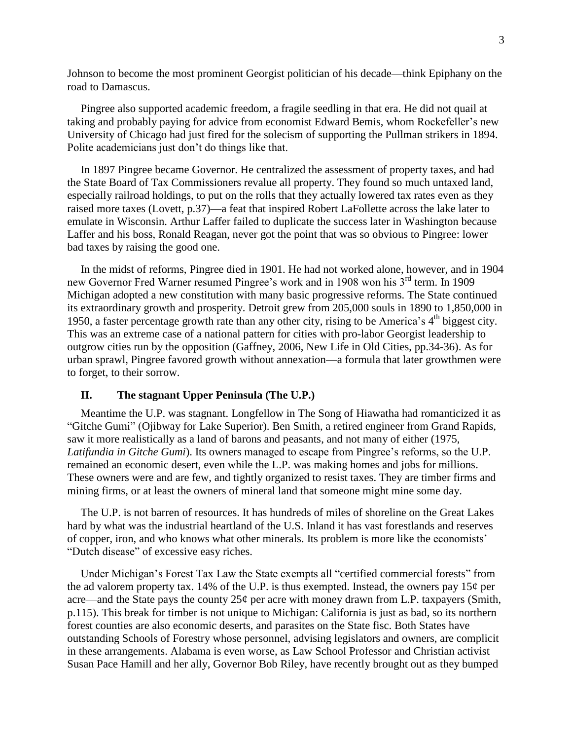Johnson to become the most prominent Georgist politician of his decade—think Epiphany on the road to Damascus.

Pingree also supported academic freedom, a fragile seedling in that era. He did not quail at taking and probably paying for advice from economist Edward Bemis, whom Rockefeller's new University of Chicago had just fired for the solecism of supporting the Pullman strikers in 1894. Polite academicians just don't do things like that.

In 1897 Pingree became Governor. He centralized the assessment of property taxes, and had the State Board of Tax Commissioners revalue all property. They found so much untaxed land, especially railroad holdings, to put on the rolls that they actually lowered tax rates even as they raised more taxes (Lovett, p.37)—a feat that inspired Robert LaFollette across the lake later to emulate in Wisconsin. Arthur Laffer failed to duplicate the success later in Washington because Laffer and his boss, Ronald Reagan, never got the point that was so obvious to Pingree: lower bad taxes by raising the good one.

In the midst of reforms, Pingree died in 1901. He had not worked alone, however, and in 1904 new Governor Fred Warner resumed Pingree's work and in 1908 won his 3<sup>rd</sup> term. In 1909 Michigan adopted a new constitution with many basic progressive reforms. The State continued its extraordinary growth and prosperity. Detroit grew from 205,000 souls in 1890 to 1,850,000 in 1950, a faster percentage growth rate than any other city, rising to be America's  $4<sup>th</sup>$  biggest city. This was an extreme case of a national pattern for cities with pro-labor Georgist leadership to outgrow cities run by the opposition (Gaffney, 2006, New Life in Old Cities, pp.34-36). As for urban sprawl, Pingree favored growth without annexation—a formula that later growthmen were to forget, to their sorrow.

#### **II. The stagnant Upper Peninsula (The U.P.)**

Meantime the U.P. was stagnant. Longfellow in The Song of Hiawatha had romanticized it as "Gitche Gumi" (Ojibway for Lake Superior). Ben Smith, a retired engineer from Grand Rapids, saw it more realistically as a land of barons and peasants, and not many of either (1975, *Latifundia in Gitche Gumi*). Its owners managed to escape from Pingree's reforms, so the U.P. remained an economic desert, even while the L.P. was making homes and jobs for millions. These owners were and are few, and tightly organized to resist taxes. They are timber firms and mining firms, or at least the owners of mineral land that someone might mine some day.

The U.P. is not barren of resources. It has hundreds of miles of shoreline on the Great Lakes hard by what was the industrial heartland of the U.S. Inland it has vast forestlands and reserves of copper, iron, and who knows what other minerals. Its problem is more like the economists' "Dutch disease" of excessive easy riches.

Under Michigan's Forest Tax Law the State exempts all "certified commercial forests" from the ad valorem property tax. 14% of the U.P. is thus exempted. Instead, the owners pay  $15¢$  per acre—and the State pays the county  $25¢$  per acre with money drawn from L.P. taxpayers (Smith, p.115). This break for timber is not unique to Michigan: California is just as bad, so its northern forest counties are also economic deserts, and parasites on the State fisc. Both States have outstanding Schools of Forestry whose personnel, advising legislators and owners, are complicit in these arrangements. Alabama is even worse, as Law School Professor and Christian activist Susan Pace Hamill and her ally, Governor Bob Riley, have recently brought out as they bumped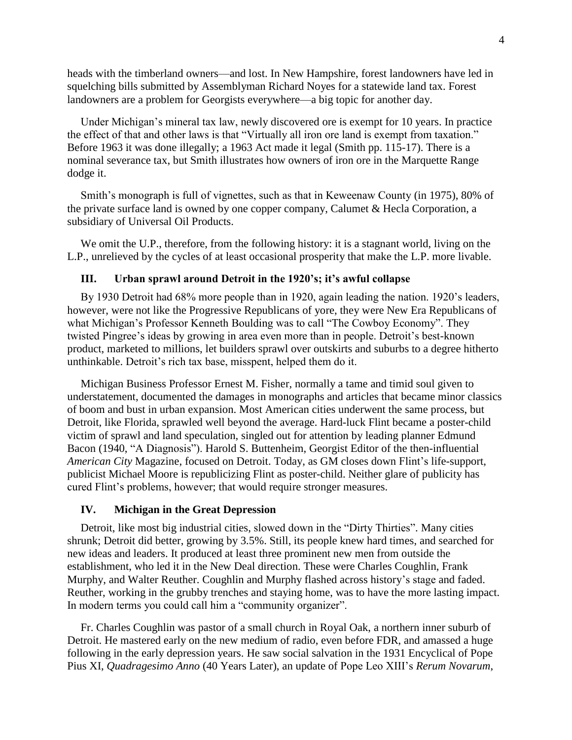heads with the timberland owners—and lost. In New Hampshire, forest landowners have led in squelching bills submitted by Assemblyman Richard Noyes for a statewide land tax. Forest landowners are a problem for Georgists everywhere—a big topic for another day.

Under Michigan's mineral tax law, newly discovered ore is exempt for 10 years. In practice the effect of that and other laws is that "Virtually all iron ore land is exempt from taxation." Before 1963 it was done illegally; a 1963 Act made it legal (Smith pp. 115-17). There is a nominal severance tax, but Smith illustrates how owners of iron ore in the Marquette Range dodge it.

Smith's monograph is full of vignettes, such as that in Keweenaw County (in 1975), 80% of the private surface land is owned by one copper company, Calumet & Hecla Corporation, a subsidiary of Universal Oil Products.

We omit the U.P., therefore, from the following history: it is a stagnant world, living on the L.P., unrelieved by the cycles of at least occasional prosperity that make the L.P. more livable.

## **III. Urban sprawl around Detroit in the 1920's; it's awful collapse**

By 1930 Detroit had 68% more people than in 1920, again leading the nation. 1920's leaders, however, were not like the Progressive Republicans of yore, they were New Era Republicans of what Michigan's Professor Kenneth Boulding was to call "The Cowboy Economy". They twisted Pingree's ideas by growing in area even more than in people. Detroit's best-known product, marketed to millions, let builders sprawl over outskirts and suburbs to a degree hitherto unthinkable. Detroit's rich tax base, misspent, helped them do it.

Michigan Business Professor Ernest M. Fisher, normally a tame and timid soul given to understatement, documented the damages in monographs and articles that became minor classics of boom and bust in urban expansion. Most American cities underwent the same process, but Detroit, like Florida, sprawled well beyond the average. Hard-luck Flint became a poster-child victim of sprawl and land speculation, singled out for attention by leading planner Edmund Bacon (1940, "A Diagnosis"). Harold S. Buttenheim, Georgist Editor of the then-influential *American City* Magazine, focused on Detroit. Today, as GM closes down Flint's life-support, publicist Michael Moore is republicizing Flint as poster-child. Neither glare of publicity has cured Flint's problems, however; that would require stronger measures.

## **IV. Michigan in the Great Depression**

Detroit, like most big industrial cities, slowed down in the "Dirty Thirties". Many cities shrunk; Detroit did better, growing by 3.5%. Still, its people knew hard times, and searched for new ideas and leaders. It produced at least three prominent new men from outside the establishment, who led it in the New Deal direction. These were Charles Coughlin, Frank Murphy, and Walter Reuther. Coughlin and Murphy flashed across history's stage and faded. Reuther, working in the grubby trenches and staying home, was to have the more lasting impact. In modern terms you could call him a "community organizer".

Fr. Charles Coughlin was pastor of a small church in Royal Oak, a northern inner suburb of Detroit. He mastered early on the new medium of radio, even before FDR, and amassed a huge following in the early depression years. He saw social salvation in the 1931 Encyclical of Pope Pius XI, *Quadragesimo Anno* (40 Years Later), an update of Pope Leo XIII's *Rerum Novarum*,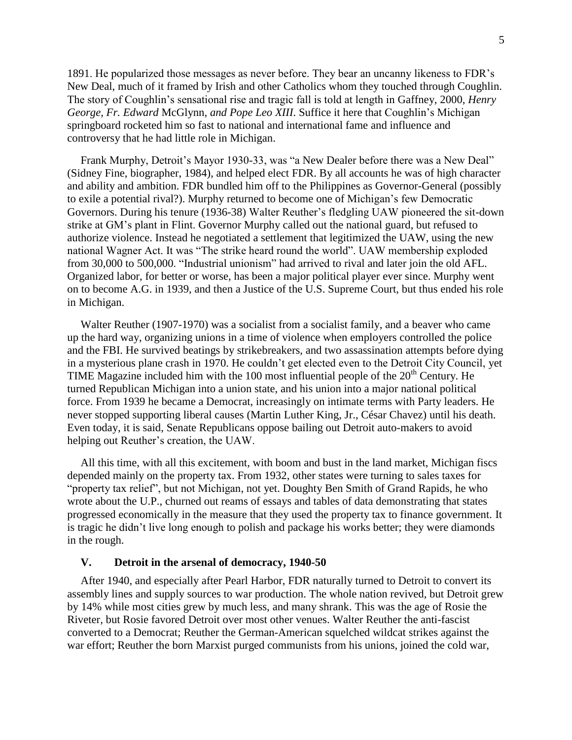1891. He popularized those messages as never before. They bear an uncanny likeness to FDR's New Deal, much of it framed by Irish and other Catholics whom they touched through Coughlin. The story of Coughlin's sensational rise and tragic fall is told at length in Gaffney, 2000, *Henry George, Fr. Edward* McGlynn*, and Pope Leo XIII*. Suffice it here that Coughlin's Michigan springboard rocketed him so fast to national and international fame and influence and controversy that he had little role in Michigan.

Frank Murphy, Detroit's Mayor 1930-33, was "a New Dealer before there was a New Deal" (Sidney Fine, biographer, 1984), and helped elect FDR. By all accounts he was of high character and ability and ambition. FDR bundled him off to the Philippines as Governor-General (possibly to exile a potential rival?). Murphy returned to become one of Michigan's few Democratic Governors. During his tenure (1936-38) Walter Reuther's fledgling UAW pioneered the sit-down strike at GM's plant in Flint. Governor Murphy called out the national guard, but refused to authorize violence. Instead he negotiated a settlement that legitimized the UAW, using the new national Wagner Act. It was "The strike heard round the world". UAW membership exploded from 30,000 to 500,000. "Industrial unionism" had arrived to rival and later join the old AFL. Organized labor, for better or worse, has been a major political player ever since. Murphy went on to become A.G. in 1939, and then a Justice of the U.S. Supreme Court, but thus ended his role in Michigan.

Walter Reuther (1907-1970) was a socialist from a socialist family, and a beaver who came up the hard way, organizing unions in a time of violence when employers controlled the police and the FBI. He survived beatings by strikebreakers, and two assassination attempts before dying in a mysterious plane crash in 1970. He couldn't get elected even to the Detroit City Council, yet TIME Magazine included him with the 100 most influential people of the  $20<sup>th</sup>$  Century. He turned Republican Michigan into a union state, and his union into a major national political force. From 1939 he became a Democrat, increasingly on intimate terms with Party leaders. He never stopped supporting liberal causes (Martin Luther King, Jr., César Chavez) until his death. Even today, it is said, Senate Republicans oppose bailing out Detroit auto-makers to avoid helping out Reuther's creation, the UAW.

All this time, with all this excitement, with boom and bust in the land market, Michigan fiscs depended mainly on the property tax. From 1932, other states were turning to sales taxes for "property tax relief", but not Michigan, not yet. Doughty Ben Smith of Grand Rapids, he who wrote about the U.P., churned out reams of essays and tables of data demonstrating that states progressed economically in the measure that they used the property tax to finance government. It is tragic he didn't live long enough to polish and package his works better; they were diamonds in the rough.

#### **V. Detroit in the arsenal of democracy, 1940-50**

After 1940, and especially after Pearl Harbor, FDR naturally turned to Detroit to convert its assembly lines and supply sources to war production. The whole nation revived, but Detroit grew by 14% while most cities grew by much less, and many shrank. This was the age of Rosie the Riveter, but Rosie favored Detroit over most other venues. Walter Reuther the anti-fascist converted to a Democrat; Reuther the German-American squelched wildcat strikes against the war effort; Reuther the born Marxist purged communists from his unions, joined the cold war,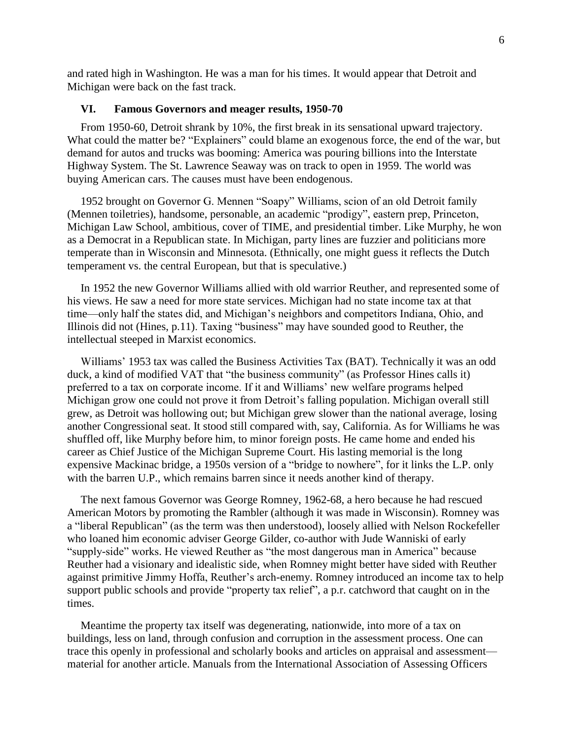and rated high in Washington. He was a man for his times. It would appear that Detroit and Michigan were back on the fast track.

## **VI. Famous Governors and meager results, 1950-70**

From 1950-60, Detroit shrank by 10%, the first break in its sensational upward trajectory. What could the matter be? "Explainers" could blame an exogenous force, the end of the war, but demand for autos and trucks was booming: America was pouring billions into the Interstate Highway System. The St. Lawrence Seaway was on track to open in 1959. The world was buying American cars. The causes must have been endogenous.

1952 brought on Governor G. Mennen "Soapy" Williams, scion of an old Detroit family (Mennen toiletries), handsome, personable, an academic "prodigy", eastern prep, Princeton, Michigan Law School, ambitious, cover of TIME, and presidential timber. Like Murphy, he won as a Democrat in a Republican state. In Michigan, party lines are fuzzier and politicians more temperate than in Wisconsin and Minnesota. (Ethnically, one might guess it reflects the Dutch temperament vs. the central European, but that is speculative.)

In 1952 the new Governor Williams allied with old warrior Reuther, and represented some of his views. He saw a need for more state services. Michigan had no state income tax at that time—only half the states did, and Michigan's neighbors and competitors Indiana, Ohio, and Illinois did not (Hines, p.11). Taxing "business" may have sounded good to Reuther, the intellectual steeped in Marxist economics.

Williams' 1953 tax was called the Business Activities Tax (BAT). Technically it was an odd duck, a kind of modified VAT that "the business community" (as Professor Hines calls it) preferred to a tax on corporate income. If it and Williams' new welfare programs helped Michigan grow one could not prove it from Detroit's falling population. Michigan overall still grew, as Detroit was hollowing out; but Michigan grew slower than the national average, losing another Congressional seat. It stood still compared with, say, California. As for Williams he was shuffled off, like Murphy before him, to minor foreign posts. He came home and ended his career as Chief Justice of the Michigan Supreme Court. His lasting memorial is the long expensive Mackinac bridge, a 1950s version of a "bridge to nowhere", for it links the L.P. only with the barren U.P., which remains barren since it needs another kind of therapy.

The next famous Governor was George Romney, 1962-68, a hero because he had rescued American Motors by promoting the Rambler (although it was made in Wisconsin). Romney was a "liberal Republican" (as the term was then understood), loosely allied with Nelson Rockefeller who loaned him economic adviser George Gilder, co-author with Jude Wanniski of early "supply-side" works. He viewed Reuther as "the most dangerous man in America" because Reuther had a visionary and idealistic side, when Romney might better have sided with Reuther against primitive Jimmy Hoffa, Reuther's arch-enemy. Romney introduced an income tax to help support public schools and provide "property tax relief", a p.r. catchword that caught on in the times.

Meantime the property tax itself was degenerating, nationwide, into more of a tax on buildings, less on land, through confusion and corruption in the assessment process. One can trace this openly in professional and scholarly books and articles on appraisal and assessment material for another article. Manuals from the International Association of Assessing Officers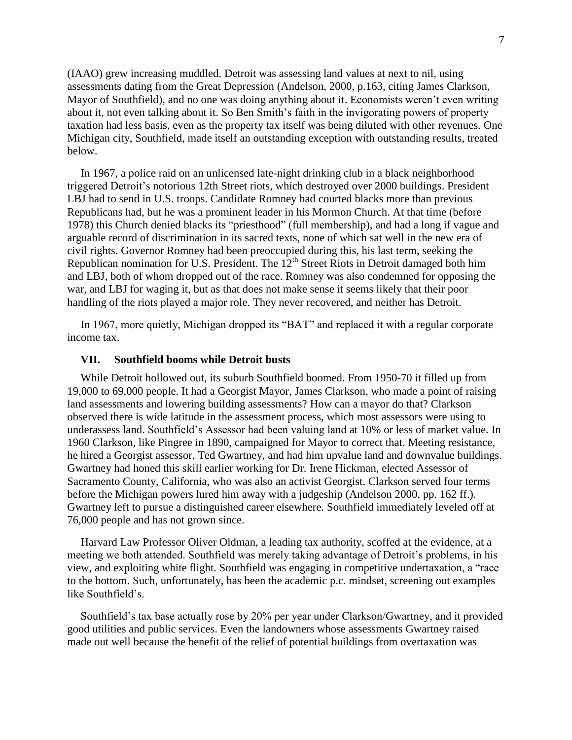(IAAO) grew increasing muddled. Detroit was assessing land values at next to nil, using assessments dating from the Great Depression (Andelson, 2000, p.163, citing James Clarkson, Mayor of Southfield), and no one was doing anything about it. Economists weren't even writing about it, not even talking about it. So Ben Smith's faith in the invigorating powers of property taxation had less basis, even as the property tax itself was being diluted with other revenues. One Michigan city, Southfield, made itself an outstanding exception with outstanding results, treated below.

In 1967, a police raid on an unlicensed late-night drinking club in a black neighborhood triggered Detroit's notorious 12th Street riots, which destroyed over 2000 buildings. President LBJ had to send in U.S. troops. Candidate Romney had courted blacks more than previous Republicans had, but he was a prominent leader in his Mormon Church. At that time (before 1978) this Church denied blacks its "priesthood" (full membership), and had a long if vague and arguable record of discrimination in its sacred texts, none of which sat well in the new era of civil rights. Governor Romney had been preoccupied during this, his last term, seeking the Republican nomination for U.S. President. The  $12<sup>th</sup>$  Street Riots in Detroit damaged both him and LBJ, both of whom dropped out of the race. Romney was also condemned for opposing the war, and LBJ for waging it, but as that does not make sense it seems likely that their poor handling of the riots played a major role. They never recovered, and neither has Detroit.

In 1967, more quietly, Michigan dropped its "BAT" and replaced it with a regular corporate income tax.

#### **VII. Southfield booms while Detroit busts**

While Detroit hollowed out, its suburb Southfield boomed. From 1950-70 it filled up from 19,000 to 69,000 people. It had a Georgist Mayor, James Clarkson, who made a point of raising land assessments and lowering building assessments? How can a mayor do that? Clarkson observed there is wide latitude in the assessment process, which most assessors were using to underassess land. Southfield's Assessor had been valuing land at 10% or less of market value. In 1960 Clarkson, like Pingree in 1890, campaigned for Mayor to correct that. Meeting resistance, he hired a Georgist assessor, Ted Gwartney, and had him upvalue land and downvalue buildings. Gwartney had honed this skill earlier working for Dr. Irene Hickman, elected Assessor of Sacramento County, California, who was also an activist Georgist. Clarkson served four terms before the Michigan powers lured him away with a judgeship (Andelson 2000, pp. 162 ff.). Gwartney left to pursue a distinguished career elsewhere. Southfield immediately leveled off at 76,000 people and has not grown since.

Harvard Law Professor Oliver Oldman, a leading tax authority, scoffed at the evidence, at a meeting we both attended. Southfield was merely taking advantage of Detroit's problems, in his view, and exploiting white flight. Southfield was engaging in competitive undertaxation, a "race to the bottom. Such, unfortunately, has been the academic p.c. mindset, screening out examples like Southfield's.

Southfield's tax base actually rose by 20% per year under Clarkson/Gwartney, and it provided good utilities and public services. Even the landowners whose assessments Gwartney raised made out well because the benefit of the relief of potential buildings from overtaxation was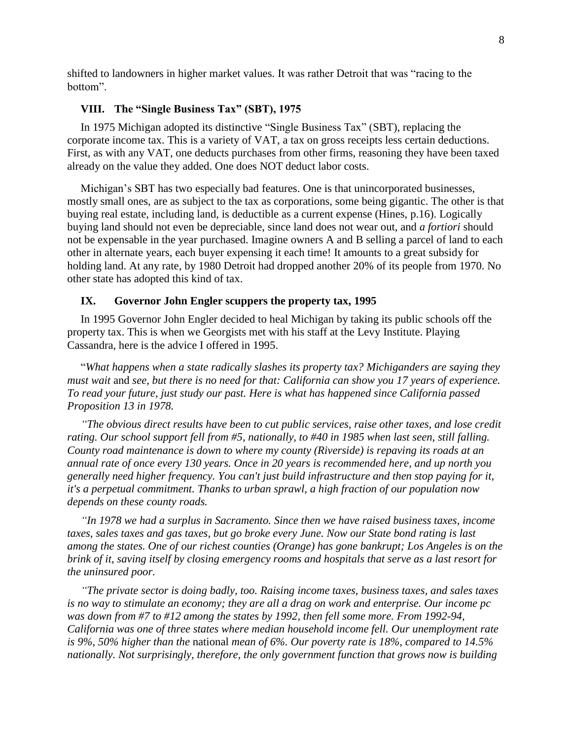shifted to landowners in higher market values. It was rather Detroit that was "racing to the bottom".

## **VIII. The "Single Business Tax" (SBT), 1975**

In 1975 Michigan adopted its distinctive "Single Business Tax" (SBT), replacing the corporate income tax. This is a variety of VAT, a tax on gross receipts less certain deductions. First, as with any VAT, one deducts purchases from other firms, reasoning they have been taxed already on the value they added. One does NOT deduct labor costs.

Michigan's SBT has two especially bad features. One is that unincorporated businesses, mostly small ones, are as subject to the tax as corporations, some being gigantic. The other is that buying real estate, including land, is deductible as a current expense (Hines, p.16). Logically buying land should not even be depreciable, since land does not wear out, and *a fortiori* should not be expensable in the year purchased. Imagine owners A and B selling a parcel of land to each other in alternate years, each buyer expensing it each time! It amounts to a great subsidy for holding land. At any rate, by 1980 Detroit had dropped another 20% of its people from 1970. No other state has adopted this kind of tax.

#### **IX. Governor John Engler scuppers the property tax, 1995**

In 1995 Governor John Engler decided to heal Michigan by taking its public schools off the property tax. This is when we Georgists met with his staff at the Levy Institute. Playing Cassandra, here is the advice I offered in 1995.

"*What happens when a state radically slashes its property tax? Michiganders are saying they must wait* and *see, but there is no need for that: California can show you 17 years of experience. To read your future, just study our past. Here is what has happened since California passed Proposition 13 in 1978.*

*"The obvious direct results have been to cut public services, raise other taxes, and lose credit rating. Our school support fell from #5, nationally, to #40 in 1985 when last seen, still falling. County road maintenance is down to where my county (Riverside) is repaving its roads at an annual rate of once every 130 years. Once in 20 years is recommended here, and up north you generally need higher frequency. You can't just build infrastructure and then stop paying for it, it's a perpetual commitment. Thanks to urban sprawl, a high fraction of our population now depends on these county roads.*

*"In 1978 we had a surplus in Sacramento. Since then we have raised business taxes, income taxes, sales taxes and gas taxes, but go broke every June. Now our State bond rating is last among the states. One of our richest counties (Orange) has gone bankrupt; Los Angeles is on the brink of it, saving itself by closing emergency rooms and hospitals that serve as a last resort for the uninsured poor.*

*"The private sector is doing badly, too. Raising income taxes, business taxes, and sales taxes is no way to stimulate an economy; they are all a drag on work and enterprise. Our income pc was down from #7 to #12 among the states by 1992, then fell some more. From 1992-94, California was one of three states where median household income fell. Our unemployment rate is 9%, 50% higher than the* national *mean of 6%. Our poverty rate is 18%, compared to 14.5% nationally. Not surprisingly, therefore, the only government function that grows now is building*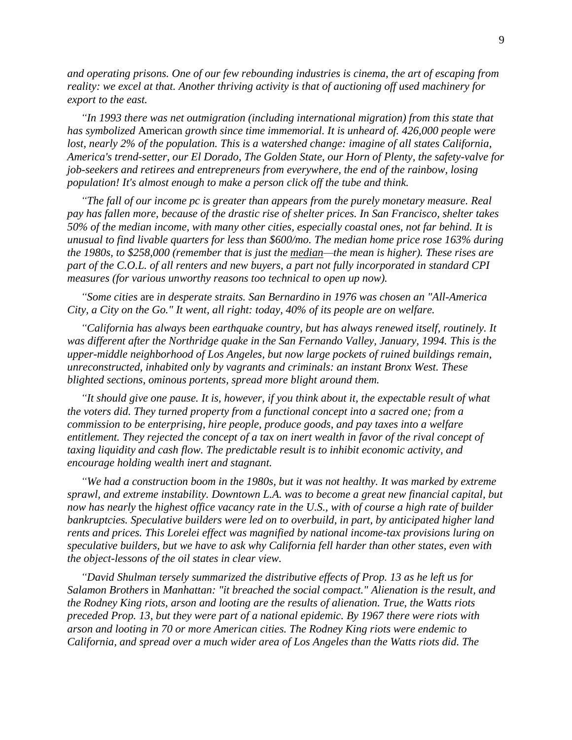*and operating prisons. One of our few rebounding industries is cinema, the art of escaping from reality: we excel at that. Another thriving activity is that of auctioning off used machinery for export to the east.*

*"In 1993 there was net outmigration (including international migration) from this state that has symbolized* American *growth since time immemorial. It is unheard of. 426,000 people were lost, nearly 2% of the population. This is a watershed change: imagine of all states California, America's trend-setter, our El Dorado, The Golden State, our Horn of Plenty, the safety-valve for job-seekers and retirees and entrepreneurs from everywhere, the end of the rainbow, losing population! It's almost enough to make a person click off the tube and think.*

*"The fall of our income pc is greater than appears from the purely monetary measure. Real pay has fallen more, because of the drastic rise of shelter prices. In San Francisco, shelter takes 50% of the median income, with many other cities, especially coastal ones, not far behind. It is unusual to find livable quarters for less than \$600/mo. The median home price rose 163% during the 1980s, to \$258,000 (remember that is just the median—the mean is higher). These rises are part of the C.O.L. of all renters and new buyers, a part not fully incorporated in standard CPI measures (for various unworthy reasons too technical to open up now).*

*"Some cities* are *in desperate straits. San Bernardino in 1976 was chosen an "All-America City, a City on the Go." It went, all right: today, 40% of its people are on welfare.*

*"California has always been earthquake country, but has always renewed itself, routinely. It was different after the Northridge quake in the San Fernando Valley, January, 1994. This is the upper-middle neighborhood of Los Angeles, but now large pockets of ruined buildings remain, unreconstructed, inhabited only by vagrants and criminals: an instant Bronx West. These blighted sections, ominous portents, spread more blight around them.*

*"It should give one pause. It is, however, if you think about it, the expectable result of what the voters did. They turned property from a functional concept into a sacred one; from a commission to be enterprising, hire people, produce goods, and pay taxes into a welfare entitlement. They rejected the concept of a tax on inert wealth in favor of the rival concept of taxing liquidity and cash flow. The predictable result is to inhibit economic activity, and encourage holding wealth inert and stagnant.*

*"We had a construction boom in the 1980s, but it was not healthy. It was marked by extreme sprawl, and extreme instability. Downtown L.A. was to become a great new financial capital, but now has nearly* the *highest office vacancy rate in the U.S., with of course a high rate of builder bankruptcies. Speculative builders were led on to overbuild, in part, by anticipated higher land rents and prices. This Lorelei effect was magnified by national income-tax provisions luring on speculative builders, but we have to ask why California fell harder than other states, even with the object-lessons of the oil states in clear view.*

*"David Shulman tersely summarized the distributive effects of Prop. 13 as he left us for Salamon Brothers* in *Manhattan: "it breached the social compact." Alienation is the result, and the Rodney King riots, arson and looting are the results of alienation. True, the Watts riots preceded Prop. 13, but they were part of a national epidemic. By 1967 there were riots with arson and looting in 70 or more American cities. The Rodney King riots were endemic to California, and spread over a much wider area of Los Angeles than the Watts riots did. The*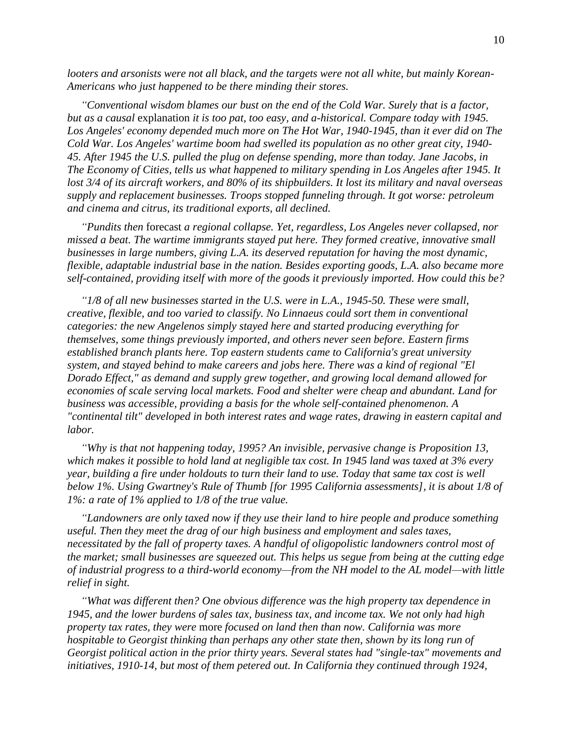*looters and arsonists were not all black, and the targets were not all white, but mainly Korean-Americans who just happened to be there minding their stores.*

*"Conventional wisdom blames our bust on the end of the Cold War. Surely that is a factor, but as a causal* explanation *it is too pat, too easy, and a-historical. Compare today with 1945.* Los Angeles' economy depended much more on The Hot War, 1940-1945, than it ever did on The *Cold War. Los Angeles' wartime boom had swelled its population as no other great city, 1940- 45. After 1945 the U.S. pulled the plug on defense spending, more than today. Jane Jacobs, in The Economy of Cities, tells us what happened to military spending in Los Angeles after 1945. It lost 3/4 of its aircraft workers, and 80% of its shipbuilders. It lost its military and naval overseas supply and replacement businesses. Troops stopped funneling through. It got worse: petroleum and cinema and citrus, its traditional exports, all declined.*

*"Pundits then* forecast *a regional collapse. Yet, regardless, Los Angeles never collapsed, nor missed a beat. The wartime immigrants stayed put here. They formed creative, innovative small businesses in large numbers, giving L.A. its deserved reputation for having the most dynamic, flexible, adaptable industrial base in the nation. Besides exporting goods, L.A. also became more self-contained, providing itself with more of the goods it previously imported. How could this be?*

*"1/8 of all new businesses started in the U.S. were in L.A., 1945-50. These were small, creative, flexible, and too varied to classify. No Linnaeus could sort them in conventional categories: the new Angelenos simply stayed here and started producing everything for themselves, some things previously imported, and others never seen before. Eastern firms established branch plants here. Top eastern students came to California's great university system, and stayed behind to make careers and jobs here. There was a kind of regional "El Dorado Effect," as demand and supply grew together, and growing local demand allowed for economies of scale serving local markets. Food and shelter were cheap and abundant. Land for business was accessible, providing a basis for the whole self-contained phenomenon. A "continental tilt" developed in both interest rates and wage rates, drawing in eastern capital and labor.*

*"Why is that not happening today, 1995? An invisible, pervasive change is Proposition 13, which makes it possible to hold land at negligible tax cost. In 1945 land was taxed at 3% every year, building a fire under holdouts to turn their land to use. Today that same tax cost is well below 1%. Using Gwartney's Rule of Thumb [for 1995 California assessments], it is about 1/8 of 1%: a rate of 1% applied to 1/8 of the true value.*

*"Landowners are only taxed now if they use their land to hire people and produce something useful. Then they meet the drag of our high business and employment and sales taxes, necessitated by the fall of property taxes. A handful of oligopolistic landowners control most of the market; small businesses are squeezed out. This helps us segue from being at the cutting edge of industrial progress to a third-world economy—from the NH model to the AL model—with little relief in sight.*

*"What was different then? One obvious difference was the high property tax dependence in 1945, and the lower burdens of sales tax, business tax, and income tax. We not only had high property tax rates, they were* more *focused on land then than now. California was more hospitable to Georgist thinking than perhaps any other state then, shown by its long run of Georgist political action in the prior thirty years. Several states had "single-tax" movements and initiatives, 1910-14, but most of them petered out. In California they continued through 1924,*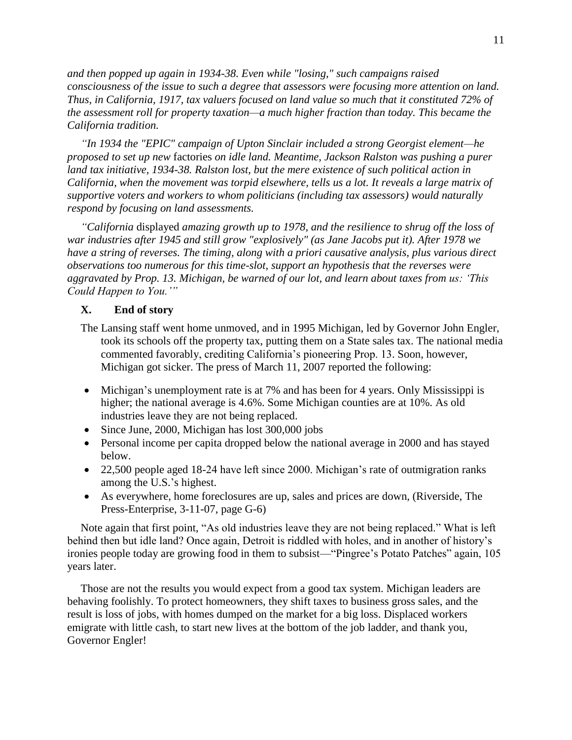*and then popped up again in 1934-38. Even while "losing," such campaigns raised consciousness of the issue to such a degree that assessors were focusing more attention on land. Thus, in California, 1917, tax valuers focused on land value so much that it constituted 72% of the assessment roll for property taxation—a much higher fraction than today. This became the California tradition.*

*"In 1934 the "EPIC" campaign of Upton Sinclair included a strong Georgist element—he proposed to set up new* factories *on idle land. Meantime, Jackson Ralston was pushing a purer land tax initiative, 1934-38. Ralston lost, but the mere existence of such political action in California, when the movement was torpid elsewhere, tells us a lot. It reveals a large matrix of supportive voters and workers to whom politicians (including tax assessors) would naturally respond by focusing on land assessments.*

*"California* displayed *amazing growth up to 1978, and the resilience to shrug off the loss of war industries after 1945 and still grow "explosively" (as Jane Jacobs put it). After 1978 we have a string of reverses. The timing, along with a priori causative analysis, plus various direct observations too numerous for this time-slot, support an hypothesis that the reverses were aggravated by Prop. 13. Michigan, be warned of our lot, and learn about taxes from us: 'This Could Happen to You.'"*

# **X. End of story**

- The Lansing staff went home unmoved, and in 1995 Michigan, led by Governor John Engler, took its schools off the property tax, putting them on a State sales tax. The national media commented favorably, crediting California's pioneering Prop. 13. Soon, however, Michigan got sicker. The press of March 11, 2007 reported the following:
- Michigan's unemployment rate is at 7% and has been for 4 years. Only Mississippi is higher; the national average is 4.6%. Some Michigan counties are at 10%. As old industries leave they are not being replaced.
- Since June, 2000, Michigan has lost 300,000 jobs
- Personal income per capita dropped below the national average in 2000 and has stayed below.
- 22,500 people aged 18-24 have left since 2000. Michigan's rate of outmigration ranks among the U.S.'s highest.
- As everywhere, home foreclosures are up, sales and prices are down, (Riverside, The Press-Enterprise, 3-11-07, page G-6)

Note again that first point, "As old industries leave they are not being replaced." What is left behind then but idle land? Once again, Detroit is riddled with holes, and in another of history's ironies people today are growing food in them to subsist—"Pingree's Potato Patches" again, 105 years later.

Those are not the results you would expect from a good tax system. Michigan leaders are behaving foolishly. To protect homeowners, they shift taxes to business gross sales, and the result is loss of jobs, with homes dumped on the market for a big loss. Displaced workers emigrate with little cash, to start new lives at the bottom of the job ladder, and thank you, Governor Engler!